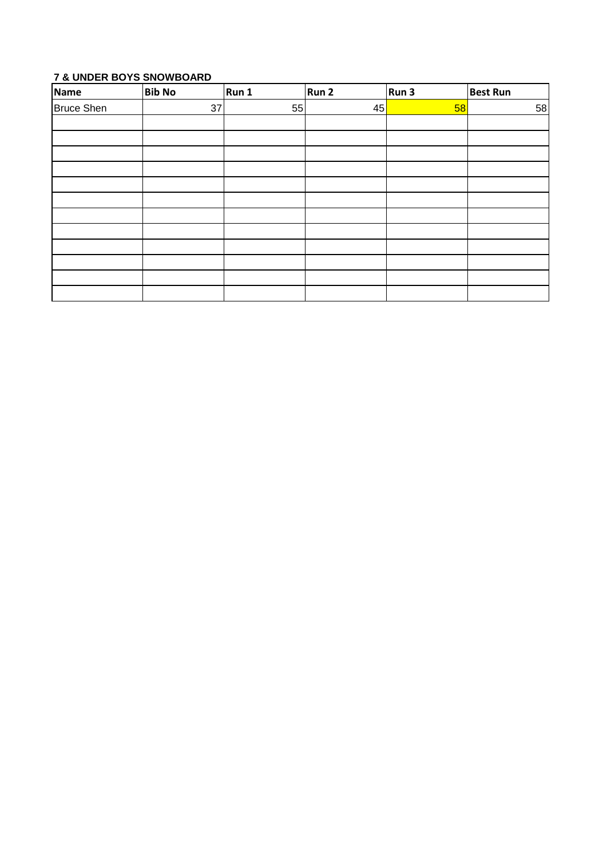# **7 & UNDER BOYS SNOWBOARD**

| <b>Name</b>       | <b>Bib No</b> | Run 1 | Run 2 | Run 3 | <b>Best Run</b> |
|-------------------|---------------|-------|-------|-------|-----------------|
| <b>Bruce Shen</b> | 37            | 55    | 45    | 58    | 58              |
|                   |               |       |       |       |                 |
|                   |               |       |       |       |                 |
|                   |               |       |       |       |                 |
|                   |               |       |       |       |                 |
|                   |               |       |       |       |                 |
|                   |               |       |       |       |                 |
|                   |               |       |       |       |                 |
|                   |               |       |       |       |                 |
|                   |               |       |       |       |                 |
|                   |               |       |       |       |                 |
|                   |               |       |       |       |                 |
|                   |               |       |       |       |                 |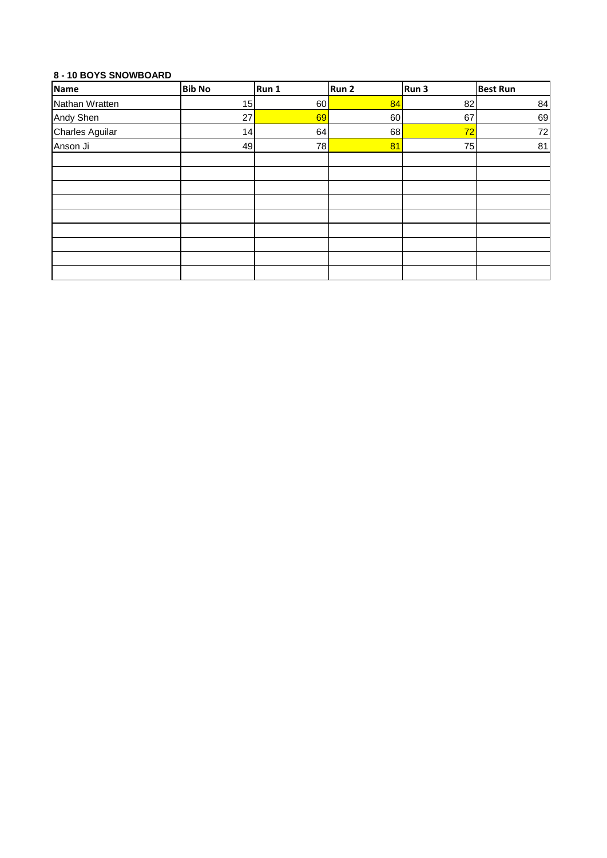## **8 - 10 BOYS SNOWBOARD**

| <b>Name</b>            | <b>Bib No</b> | Run 1 | Run 2 | Run 3 | <b>Best Run</b> |
|------------------------|---------------|-------|-------|-------|-----------------|
| Nathan Wratten         | 15            | 60    | 84    | 82    | 84              |
| Andy Shen              | 27            | 69    | 60    | 67    | 69              |
| <b>Charles Aguilar</b> | 14            | 64    | 68    | 72    | 72              |
| Anson Ji               | 49            | 78    | 81    | 75    | 81              |
|                        |               |       |       |       |                 |
|                        |               |       |       |       |                 |
|                        |               |       |       |       |                 |
|                        |               |       |       |       |                 |
|                        |               |       |       |       |                 |
|                        |               |       |       |       |                 |
|                        |               |       |       |       |                 |
|                        |               |       |       |       |                 |
|                        |               |       |       |       |                 |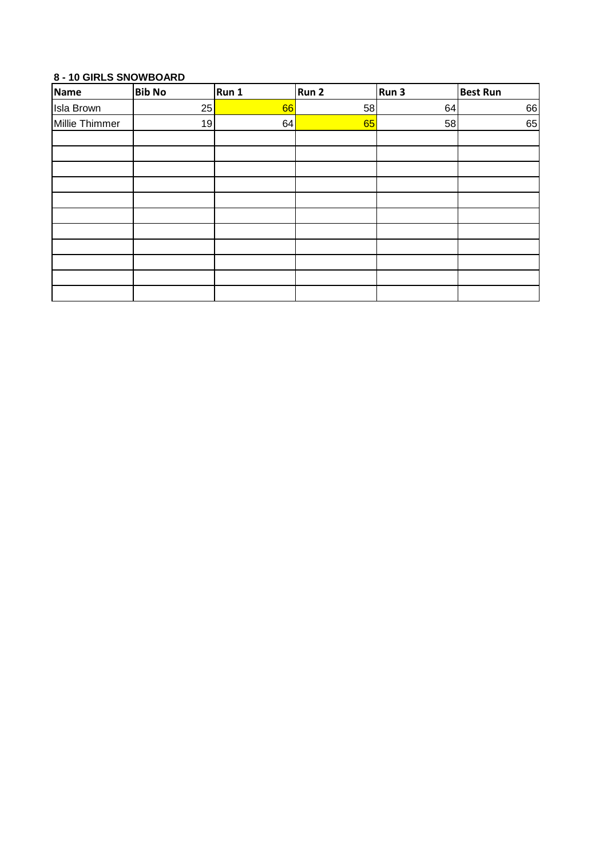# **8 - 10 GIRLS SNOWBOARD**

| Name              | <b>Bib No</b> | Run 1 | Run 2 | Run 3 | <b>Best Run</b> |
|-------------------|---------------|-------|-------|-------|-----------------|
| <b>Isla Brown</b> | 25            | 66    | 58    | 64    | 66              |
| Millie Thimmer    | 19            | 64    | 65    | 58    | 65              |
|                   |               |       |       |       |                 |
|                   |               |       |       |       |                 |
|                   |               |       |       |       |                 |
|                   |               |       |       |       |                 |
|                   |               |       |       |       |                 |
|                   |               |       |       |       |                 |
|                   |               |       |       |       |                 |
|                   |               |       |       |       |                 |
|                   |               |       |       |       |                 |
|                   |               |       |       |       |                 |
|                   |               |       |       |       |                 |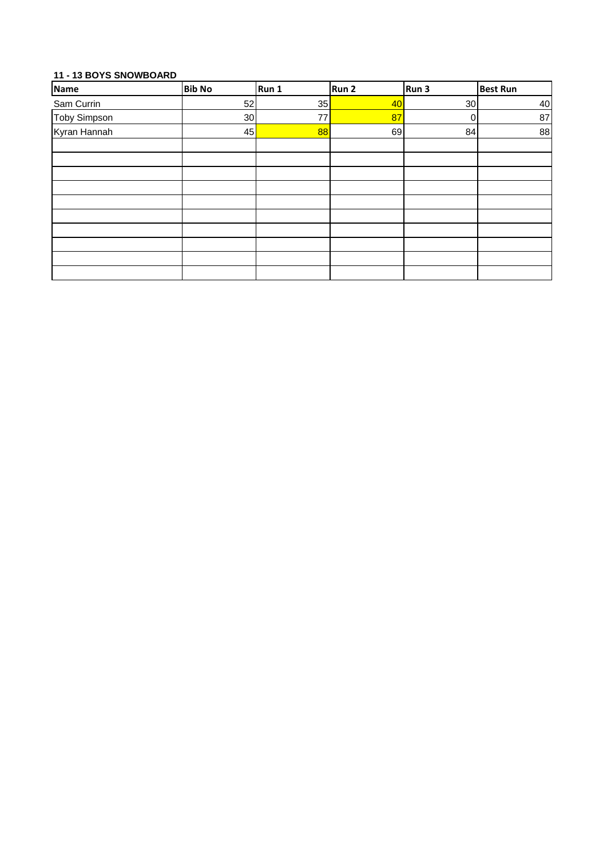# **11 - 13 BOYS SNOWBOARD**

| <b>Name</b>  | <b>Bib No</b> | Run 1   | Run 2 | Run 3 | <b>Best Run</b> |
|--------------|---------------|---------|-------|-------|-----------------|
| Sam Currin   | 52            | 35      | 40    | 30    | 40              |
| Toby Simpson | 30            | $77 \,$ | 87    | 0     | 87              |
| Kyran Hannah | 45            | 88      | 69    | 84    | 88              |
|              |               |         |       |       |                 |
|              |               |         |       |       |                 |
|              |               |         |       |       |                 |
|              |               |         |       |       |                 |
|              |               |         |       |       |                 |
|              |               |         |       |       |                 |
|              |               |         |       |       |                 |
|              |               |         |       |       |                 |
|              |               |         |       |       |                 |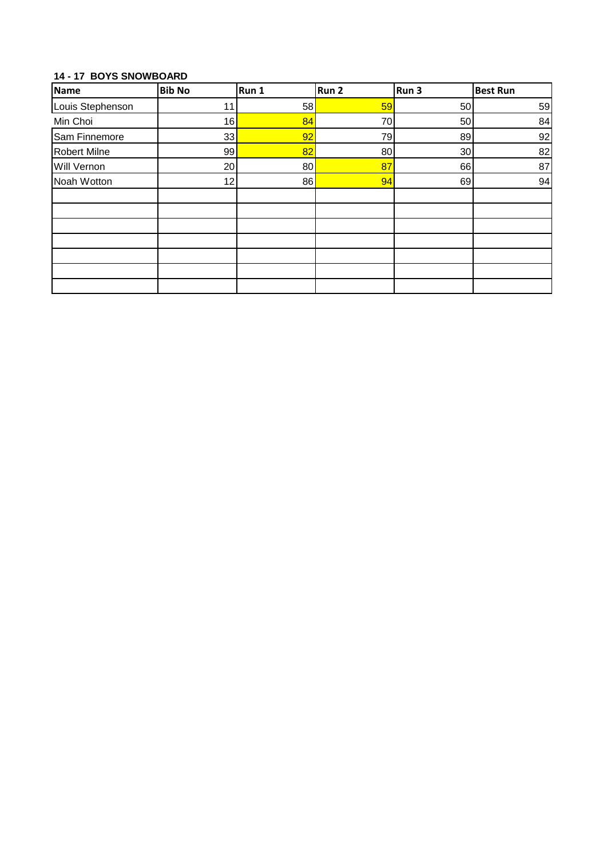# **14 - 17 BOYS SNOWBOARD**

| <b>Name</b>         | <b>Bib No</b> | Run 1 | Run <sub>2</sub> | Run 3 | <b>Best Run</b> |
|---------------------|---------------|-------|------------------|-------|-----------------|
| Louis Stephenson    | 11            | 58    | 59               | 50    | 59              |
| Min Choi            | 16            | 84    | 70               | 50    | 84              |
| Sam Finnemore       | 33            | 92    | 79               | 89    | 92              |
| <b>Robert Milne</b> | 99            | 82    | 80               | 30    | 82              |
| Will Vernon         | 20            | 80    | 87               | 66    | 87              |
| Noah Wotton         | 12            | 86    | 94               | 69    | 94              |
|                     |               |       |                  |       |                 |
|                     |               |       |                  |       |                 |
|                     |               |       |                  |       |                 |
|                     |               |       |                  |       |                 |
|                     |               |       |                  |       |                 |
|                     |               |       |                  |       |                 |
|                     |               |       |                  |       |                 |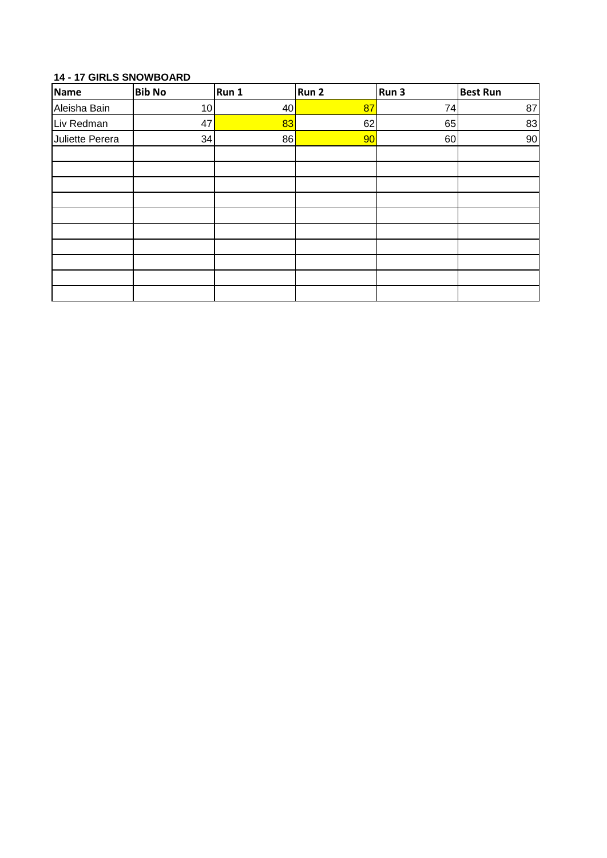# **14 - 17 GIRLS SNOWBOARD**

| Name            | <b>Bib No</b> | Run 1 | Run 2 | Run 3 | <b>Best Run</b> |
|-----------------|---------------|-------|-------|-------|-----------------|
| Aleisha Bain    | 10            | 40    | 87    | 74    | 87              |
| Liv Redman      | 47            | 83    | 62    | 65    | 83              |
| Juliette Perera | 34            | 86    | 90    | 60    | $90\,$          |
|                 |               |       |       |       |                 |
|                 |               |       |       |       |                 |
|                 |               |       |       |       |                 |
|                 |               |       |       |       |                 |
|                 |               |       |       |       |                 |
|                 |               |       |       |       |                 |
|                 |               |       |       |       |                 |
|                 |               |       |       |       |                 |
|                 |               |       |       |       |                 |
|                 |               |       |       |       |                 |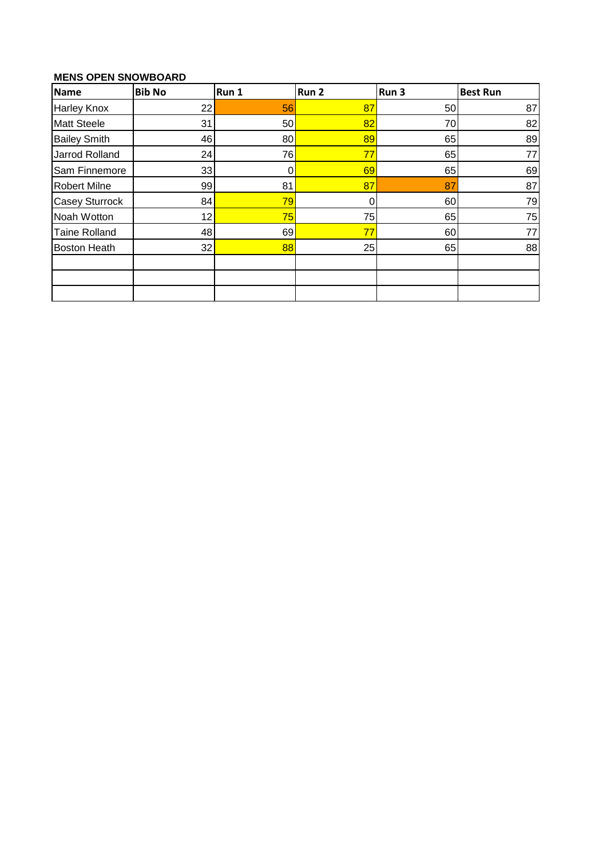# **MENS OPEN SNOWBOARD**

| Name                  | <b>Bib No</b> | Run 1 | Run <sub>2</sub> | Run 3 | <b>Best Run</b> |
|-----------------------|---------------|-------|------------------|-------|-----------------|
| <b>Harley Knox</b>    | 22            | 56    | 87               | 50    | 87              |
| <b>Matt Steele</b>    | 31            | 50    | 82               | 70    | 82              |
| <b>Bailey Smith</b>   | 46            | 80    | 89               | 65    | 89              |
| Jarrod Rolland        | 24            | 76    | 77               | 65    | 77              |
| Sam Finnemore         | 33            | 0     | 69               | 65    | 69              |
| <b>Robert Milne</b>   | 99            | 81    | 87               | 87    | 87              |
| <b>Casey Sturrock</b> | 84            | 79    | 0                | 60    | 79              |
| Noah Wotton           | 12            | 75    | 75               | 65    | 75              |
| <b>Taine Rolland</b>  | 48            | 69    | 77               | 60    | 77              |
| <b>Boston Heath</b>   | 32            | 88    | 25               | 65    | 88              |
|                       |               |       |                  |       |                 |
|                       |               |       |                  |       |                 |
|                       |               |       |                  |       |                 |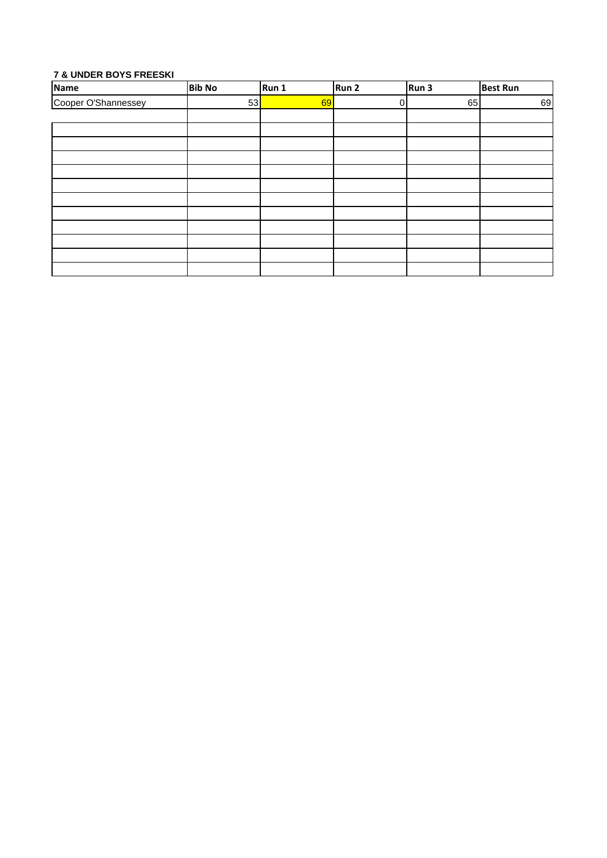## **7 & UNDER BOYS FREESKI**

| <b>Name</b>         | <b>Bib No</b> | Run 1 | Run 2 | Run 3 | <b>Best Run</b> |
|---------------------|---------------|-------|-------|-------|-----------------|
| Cooper O'Shannessey | 53            | 69    | 0     | 65    | 69              |
|                     |               |       |       |       |                 |
|                     |               |       |       |       |                 |
|                     |               |       |       |       |                 |
|                     |               |       |       |       |                 |
|                     |               |       |       |       |                 |
|                     |               |       |       |       |                 |
|                     |               |       |       |       |                 |
|                     |               |       |       |       |                 |
|                     |               |       |       |       |                 |
|                     |               |       |       |       |                 |
|                     |               |       |       |       |                 |
|                     |               |       |       |       |                 |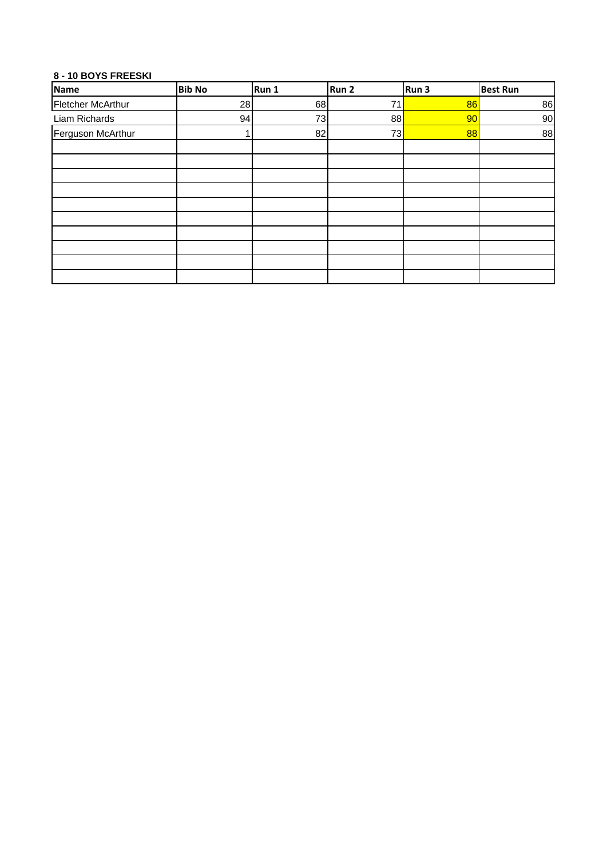## **8 - 10 BOYS FREESKI**

| Name              | <b>Bib No</b> | Run 1 | Run 2 | Run 3 | <b>Best Run</b> |
|-------------------|---------------|-------|-------|-------|-----------------|
| Fletcher McArthur | 28            | 68    | 71    | 86    | 86              |
| Liam Richards     | 94            | 73    | 88    | 90    | 90              |
| Ferguson McArthur |               | 82    | 73    | 88    | 88              |
|                   |               |       |       |       |                 |
|                   |               |       |       |       |                 |
|                   |               |       |       |       |                 |
|                   |               |       |       |       |                 |
|                   |               |       |       |       |                 |
|                   |               |       |       |       |                 |
|                   |               |       |       |       |                 |
|                   |               |       |       |       |                 |
|                   |               |       |       |       |                 |
|                   |               |       |       |       |                 |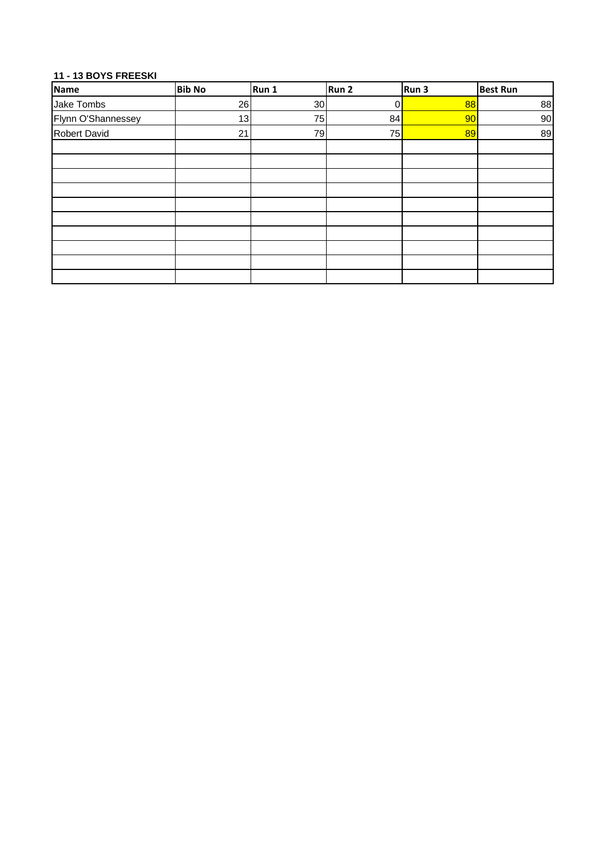## **11 - 13 BOYS FREESKI**

| Name                | <b>Bib No</b> | Run 1 | Run 2 | Run 3 | <b>Best Run</b> |
|---------------------|---------------|-------|-------|-------|-----------------|
| Jake Tombs          | 26            | 30    | 0     | 88    | 88              |
| Flynn O'Shannessey  | 13            | 75    | 84    | 90    | 90              |
| <b>Robert David</b> | 21            | 79    | 75    | 89    | 89              |
|                     |               |       |       |       |                 |
|                     |               |       |       |       |                 |
|                     |               |       |       |       |                 |
|                     |               |       |       |       |                 |
|                     |               |       |       |       |                 |
|                     |               |       |       |       |                 |
|                     |               |       |       |       |                 |
|                     |               |       |       |       |                 |
|                     |               |       |       |       |                 |
|                     |               |       |       |       |                 |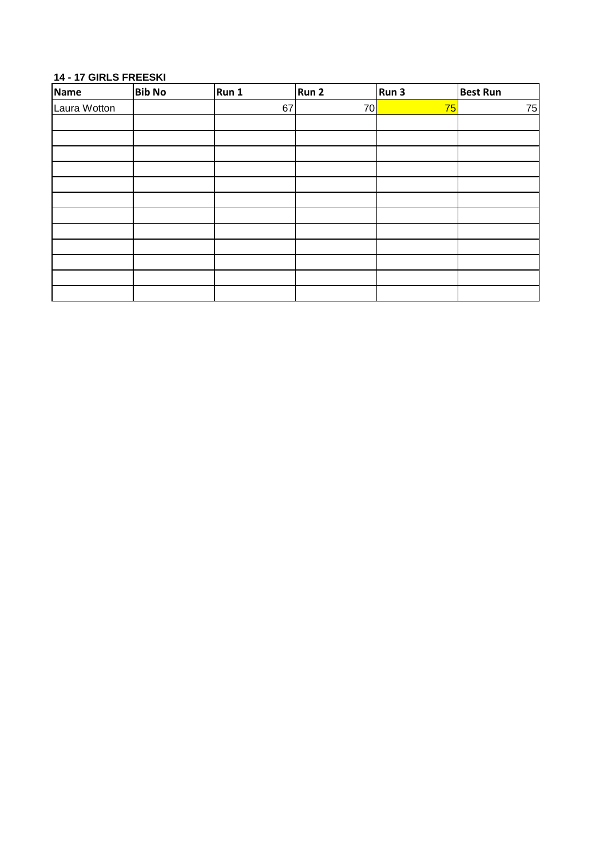#### **14 - 17 GIRLS FREESKI**

| <b>Name</b>  | <b>Bib No</b> | Run 1 | Run 2 | Run 3 | <b>Best Run</b> |
|--------------|---------------|-------|-------|-------|-----------------|
| Laura Wotton |               | 67    | 70    | 75    | 75              |
|              |               |       |       |       |                 |
|              |               |       |       |       |                 |
|              |               |       |       |       |                 |
|              |               |       |       |       |                 |
|              |               |       |       |       |                 |
|              |               |       |       |       |                 |
|              |               |       |       |       |                 |
|              |               |       |       |       |                 |
|              |               |       |       |       |                 |
|              |               |       |       |       |                 |
|              |               |       |       |       |                 |
|              |               |       |       |       |                 |